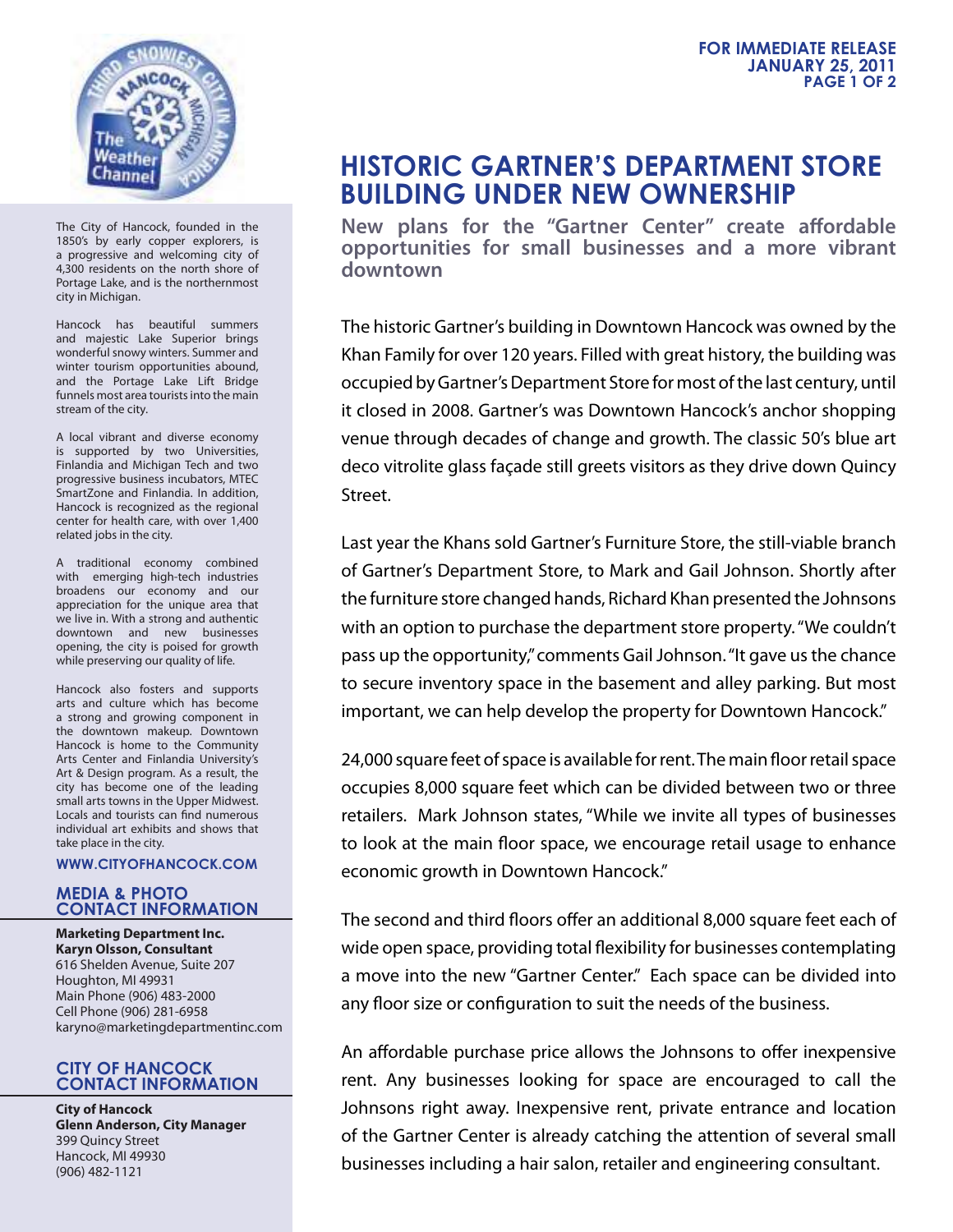

The City of Hancock, founded in the 1850's by early copper explorers, is a progressive and welcoming city of 4,300 residents on the north shore of Portage Lake, and is the northernmost city in Michigan.

Hancock has beautiful summers and majestic Lake Superior brings wonderful snowy winters. Summer and winter tourism opportunities abound, and the Portage Lake Lift Bridge funnels most area tourists into the main stream of the city.

A local vibrant and diverse economy is supported by two Universities, Finlandia and Michigan Tech and two progressive business incubators, MTEC SmartZone and Finlandia. In addition, Hancock is recognized as the regional center for health care, with over 1,400 related jobs in the city.

A traditional economy combined with emerging high-tech industries broadens our economy and our appreciation for the unique area that we live in. With a strong and authentic downtown and new businesses opening, the city is poised for growth while preserving our quality of life.

Hancock also fosters and supports arts and culture which has become a strong and growing component in the downtown makeup. Downtown Hancock is home to the Community Arts Center and Finlandia University's Art & Design program. As a result, the city has become one of the leading small arts towns in the Upper Midwest. Locals and tourists can find numerous individual art exhibits and shows that take place in the city.

## **WWW.CITYOFHANCOCK.COM**

## **MEDIA & PHOTO CONTACT INFORMATION**

**Marketing Department Inc. Karyn Olsson, Consultant** 616 Shelden Avenue, Suite 207 Houghton, MI 49931 Main Phone (906) 483-2000 Cell Phone (906) 281-6958 karyno@marketingdepartmentinc.com

## **CITY OF HANCOCK CONTACT INFORMATION**

**City of Hancock Glenn Anderson, City Manager** 399 Quincy Street Hancock, MI 49930 (906) 482-1121

## **HISTORIC GARTNER'S DEPARTMENT STORE BUILDING UNDER NEW OWNERSHIP**

New plans for the "Gartner Center" create affordable **opportunities for small businesses and a more vibrant downtown**

The historic Gartner's building in Downtown Hancock was owned by the Khan Family for over 120 years. Filled with great history, the building was occupied by Gartner's Department Store for most of the last century, until it closed in 2008. Gartner's was Downtown Hancock's anchor shopping venue through decades of change and growth. The classic 50's blue art deco vitrolite glass façade still greets visitors as they drive down Quincy Street.

Last year the Khans sold Gartner's Furniture Store, the still-viable branch of Gartner's Department Store, to Mark and Gail Johnson. Shortly after the furniture store changed hands, Richard Khan presented the Johnsons with an option to purchase the department store property. "We couldn't pass up the opportunity," comments Gail Johnson. "It gave us the chance to secure inventory space in the basement and alley parking. But most important, we can help develop the property for Downtown Hancock."

24,000 square feet of space is available for rent. The main floor retail space occupies 8,000 square feet which can be divided between two or three retailers. Mark Johnson states, "While we invite all types of businesses to look at the main floor space, we encourage retail usage to enhance economic growth in Downtown Hancock."

The second and third floors offer an additional 8,000 square feet each of wide open space, providing total flexibility for businesses contemplating a move into the new "Gartner Center." Each space can be divided into any floor size or configuration to suit the needs of the business.

An affordable purchase price allows the Johnsons to offer inexpensive rent. Any businesses looking for space are encouraged to call the Johnsons right away. Inexpensive rent, private entrance and location of the Gartner Center is already catching the attention of several small businesses including a hair salon, retailer and engineering consultant.